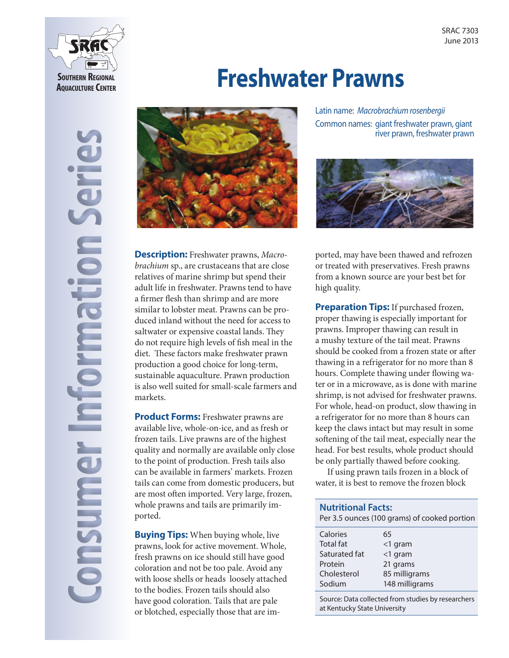

**Consumer Information Series**

onsume

**Tormation** 

# **Freshwater Prawns**



Latin name: *Macrobrachium rosenbergii*  Common names: giant freshwater prawn, giant river prawn, freshwater prawn



**Description:** Freshwater prawns, *Macrobrachium* sp., are crustaceans that are close relatives of marine shrimp but spend their adult life in freshwater. Prawns tend to have a firmer flesh than shrimp and are more similar to lobster meat. Prawns can be produced inland without the need for access to saltwater or expensive coastal lands. They do not require high levels of fish meal in the diet. These factors make freshwater prawn production a good choice for long-term, sustainable aquaculture. Prawn production is also well suited for small-scale farmers and markets.

**Product Forms:** Freshwater prawns are available live, whole-on-ice, and as fresh or frozen tails. Live prawns are of the highest quality and normally are available only close to the point of production. Fresh tails also can be available in farmers' markets. Frozen tails can come from domestic producers, but are most often imported. Very large, frozen, whole prawns and tails are primarily imported.

**Buying Tips:** When buying whole, live prawns, look for active movement. Whole, fresh prawns on ice should still have good coloration and not be too pale. Avoid any with loose shells or heads loosely attached to the bodies. Frozen tails should also have good coloration. Tails that are pale or blotched, especially those that are imported, may have been thawed and refrozen or treated with preservatives. Fresh prawns from a known source are your best bet for high quality.

**Preparation Tips:** If purchased frozen, proper thawing is especially important for prawns. Improper thawing can result in a mushy texture of the tail meat. Prawns should be cooked from a frozen state or after thawing in a refrigerator for no more than 8 hours. Complete thawing under flowing water or in a microwave, as is done with marine shrimp, is not advised for freshwater prawns. For whole, head-on product, slow thawing in a refrigerator for no more than 8 hours can keep the claws intact but may result in some softening of the tail meat, especially near the head. For best results, whole product should be only partially thawed before cooking.

If using prawn tails frozen in a block of water, it is best to remove the frozen block

| <b>Nutritional Facts:</b><br>Per 3.5 ounces (100 grams) of cooked portion         |                                                                            |
|-----------------------------------------------------------------------------------|----------------------------------------------------------------------------|
| Calories<br><b>Total fat</b><br>Saturated fat<br>Protein<br>Cholesterol<br>Sodium | 65<br>$<$ 1 gram<br><1 gram<br>21 grams<br>85 milligrams<br>148 milligrams |
|                                                                                   |                                                                            |

Source: Data collected from studies by researchers at Kentucky State University